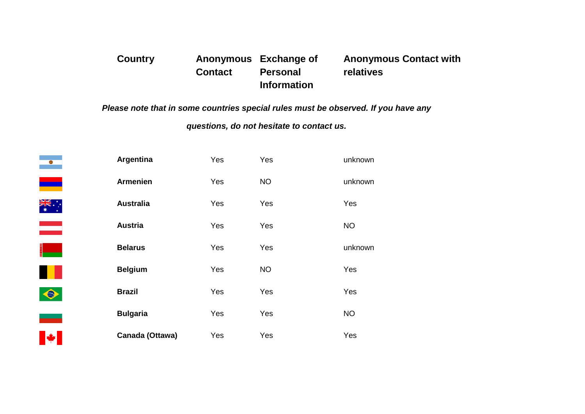## **Country Anonymous Exchange of Contact Personal Information Anonymous Contact with relatives**

*Please note that in some countries special rules must be observed. If you have any*

*questions, do not hesitate to contact us.*

| $\bullet$        | Argentina        | Yes | Yes       | unknown   |
|------------------|------------------|-----|-----------|-----------|
|                  | <b>Armenien</b>  | Yes | <b>NO</b> | unknown   |
| <b>AKA</b><br>AK | <b>Australia</b> | Yes | Yes       | Yes       |
|                  | <b>Austria</b>   | Yes | Yes       | <b>NO</b> |
|                  | <b>Belarus</b>   | Yes | Yes       | unknown   |
|                  | <b>Belgium</b>   | Yes | <b>NO</b> | Yes       |
| $\bullet$        | <b>Brazil</b>    | Yes | Yes       | Yes       |
|                  | <b>Bulgaria</b>  | Yes | Yes       | <b>NO</b> |
|                  | Canada (Ottawa)  | Yes | Yes       | Yes       |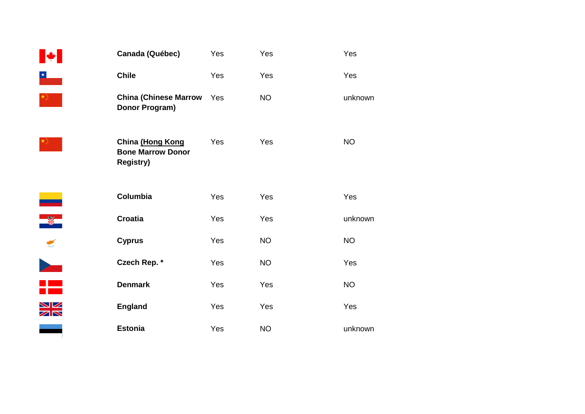| Canada (Québec)                                                  | Yes | Yes       | Yes       |
|------------------------------------------------------------------|-----|-----------|-----------|
| <b>Chile</b>                                                     | Yes | Yes       | Yes       |
| <b>China (Chinese Marrow</b><br>Donor Program)                   | Yes | <b>NO</b> | unknown   |
| China (Hong Kong<br><b>Bone Marrow Donor</b><br><b>Registry)</b> | Yes | Yes       | <b>NO</b> |
| Columbia                                                         | Yes | Yes       | Yes       |
| <b>Croatia</b>                                                   | Yes | Yes       | unknown   |
| <b>Cyprus</b>                                                    | Yes | <b>NO</b> | <b>NO</b> |
| Czech Rep. *                                                     | Yes | <b>NO</b> | Yes       |
| <b>Denmark</b>                                                   | Yes | Yes       | <b>NO</b> |
| <b>England</b>                                                   | Yes | Yes       | Yes       |
| <b>Estonia</b>                                                   | Yes | <b>NO</b> | unknown   |

IX.

 $\frac{\star}{\sqrt{2}}$ 

楼。

 $\star^{\star}_{\tau}$  .

<u>e a</u>

 $\frac{1}{3}$ 

<u>sm</u>

**NK**<br>ZIR

<u>a shekara t</u>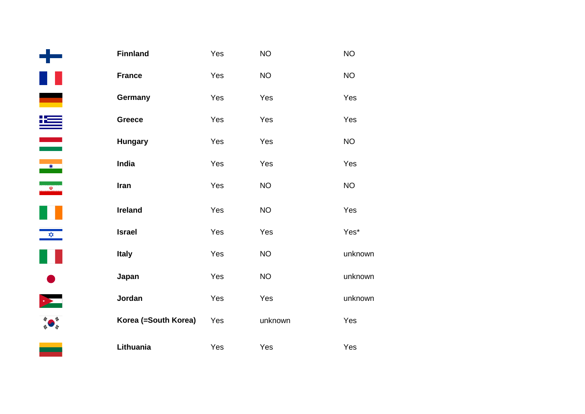|                             | <b>Finnland</b>      | Yes | $NO$      | <b>NO</b> |
|-----------------------------|----------------------|-----|-----------|-----------|
|                             | <b>France</b>        | Yes | <b>NO</b> | <b>NO</b> |
| <u>est</u>                  | Germany              | Yes | Yes       | Yes       |
| <u>k</u>                    | <b>Greece</b>        | Yes | Yes       | Yes       |
|                             | <b>Hungary</b>       | Yes | Yes       | <b>NO</b> |
| $\bullet$                   | India                | Yes | Yes       | Yes       |
| $\overline{\mathbb{Q}}$     | Iran                 | Yes | <b>NO</b> | <b>NO</b> |
| $\mathcal{L}_{\mathcal{A}}$ | <b>Ireland</b>       | Yes | <b>NO</b> | Yes       |
| $\frac{1}{2}$               | <b>Israel</b>        | Yes | Yes       | Yes*      |
|                             | <b>Italy</b>         | Yes | <b>NO</b> | unkn      |
| $\bullet$                   | Japan                | Yes | <b>NO</b> | unkn      |
|                             | Jordan               | Yes | Yes       | unkn      |
|                             | Korea (=South Korea) | Yes | unknown   | Yes       |
|                             | Lithuania            | Yes | Yes       | Yes       |

المنابع

**unknown** 

unknown

unknown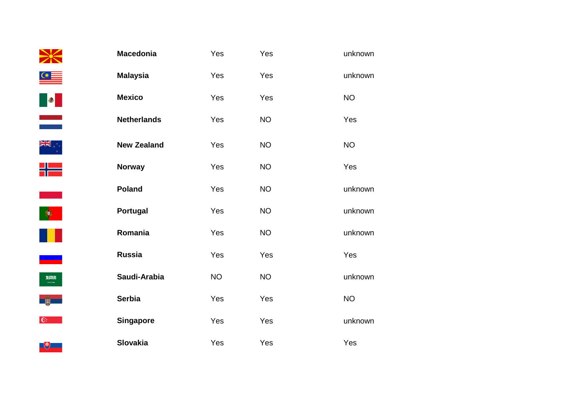|                                                                                                                                                                                                                                                                                                                                               | <b>Macedonia</b>   | Yes       | Yes       | unknown   |
|-----------------------------------------------------------------------------------------------------------------------------------------------------------------------------------------------------------------------------------------------------------------------------------------------------------------------------------------------|--------------------|-----------|-----------|-----------|
| $\triangleleft$                                                                                                                                                                                                                                                                                                                               | <b>Malaysia</b>    | Yes       | Yes       | unknown   |
| <u>is de la p</u>                                                                                                                                                                                                                                                                                                                             | <b>Mexico</b>      | Yes       | Yes       | <b>NO</b> |
|                                                                                                                                                                                                                                                                                                                                               | <b>Netherlands</b> | Yes       | <b>NO</b> | Yes       |
| ř,                                                                                                                                                                                                                                                                                                                                            | <b>New Zealand</b> | Yes       | <b>NO</b> | <b>NO</b> |
| ╬═                                                                                                                                                                                                                                                                                                                                            | <b>Norway</b>      | Yes       | <b>NO</b> | Yes       |
|                                                                                                                                                                                                                                                                                                                                               | Poland             | Yes       | <b>NO</b> | unknown   |
| $\bullet$                                                                                                                                                                                                                                                                                                                                     | Portugal           | Yes       | <b>NO</b> | unknown   |
| W                                                                                                                                                                                                                                                                                                                                             | Romania            | Yes       | <b>NO</b> | unknown   |
| a a shekara                                                                                                                                                                                                                                                                                                                                   | <b>Russia</b>      | Yes       | Yes       | Yes       |
| $\begin{picture}(20,20) \put(0,0){\line(1,0){155}} \put(15,0){\line(1,0){155}} \put(15,0){\line(1,0){155}} \put(15,0){\line(1,0){155}} \put(15,0){\line(1,0){155}} \put(15,0){\line(1,0){155}} \put(15,0){\line(1,0){155}} \put(15,0){\line(1,0){155}} \put(15,0){\line(1,0){155}} \put(15,0){\line(1,0){155}} \put(15,0){\line(1,0){155}} \$ | Saudi-Arabia       | <b>NO</b> | <b>NO</b> | unknown   |
|                                                                                                                                                                                                                                                                                                                                               | <b>Serbia</b>      | Yes       | Yes       | <b>NO</b> |
| $\mathbb{C}^{\mathbb{N}}$                                                                                                                                                                                                                                                                                                                     | <b>Singapore</b>   | Yes       | Yes       | unknown   |
| 「、                                                                                                                                                                                                                                                                                                                                            | <b>Slovakia</b>    | Yes       | Yes       | Yes       |